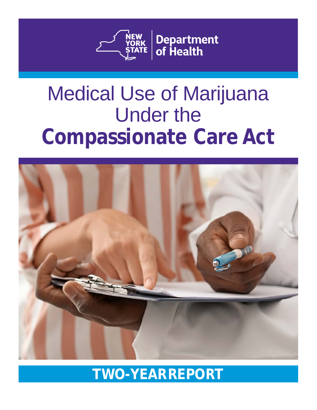

# Medical Use of Marijuana Under the **Compassionate Care Act**



## **TWO-YEARREPORT**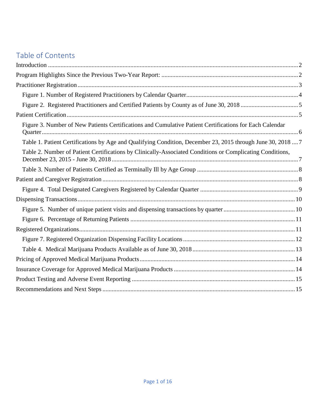### Table of Contents

| Figure 3. Number of New Patients Certifications and Cumulative Patient Certifications for Each Calendar     |  |
|-------------------------------------------------------------------------------------------------------------|--|
| Table 1. Patient Certifications by Age and Qualifying Condition, December 23, 2015 through June 30, 2018  7 |  |
| Table 2. Number of Patient Certifications by Clinically-Associated Conditions or Complicating Conditions,   |  |
|                                                                                                             |  |
|                                                                                                             |  |
|                                                                                                             |  |
|                                                                                                             |  |
|                                                                                                             |  |
|                                                                                                             |  |
|                                                                                                             |  |
|                                                                                                             |  |
|                                                                                                             |  |
|                                                                                                             |  |
|                                                                                                             |  |
|                                                                                                             |  |
|                                                                                                             |  |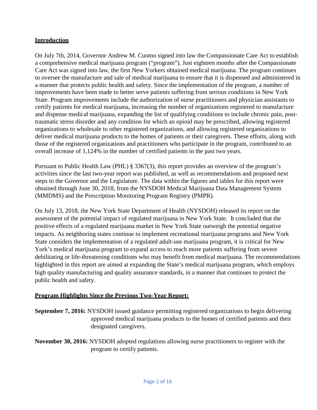#### <span id="page-2-0"></span>**Introduction**

On July 7th, 2014, Governor Andrew M. Cuomo signed into law the Compassionate Care Act to establish a comprehensive medical marijuana program ("program"). Just eighteen months after the Compassionate Care Act was signed into law, the first New Yorkers obtained medical marijuana. The program continues to oversee the manufacture and sale of medical marijuana to ensure that it is dispensed and administered in a manner that protects public health and safety. Since the implementation of the program, a number of improvements have been made to better serve patients suffering from serious conditions in New York State. Program improvements include the authorization of nurse practitioners and physician assistants to certify patients for medical marijuana, increasing the number of organizations registered to manufacture and dispense medical marijuana, expanding the list of qualifying conditions to include chronic pain, posttraumatic stress disorder and any condition for which an opioid may be prescribed, allowing registered organizations to wholesale to other registered organizations, and allowing registered organizations to deliver medical marijuana products to the homes of patients or their caregivers. These efforts, along with those of the registered organizations and practitioners who participate in the program, contributed to an overall increase of 1,124% in the number of certified patients in the past two years.

Pursuant to Public Health Law (PHL) § 3367(3), this report provides an overview of the program's activities since the last two-year report was published, as well as recommendations and proposed next steps to the Governor and the Legislature. The data within the figures and tables for this report were obtained through June 30, 2018, from the NYSDOH Medical Marijuana Data Management System (MMDMS) and the Prescription Monitoring Program Registry (PMPR).

On July 13, 2018, the New York State Department of Health (NYSDOH) released its report on the assessment of the potential impact of regulated marijuana in New York State. It concluded that the positive effects of a regulated marijuana market in New York State outweigh the potential negative impacts. As neighboring states continue to implement recreational marijuana programs and New York State considers the implementation of a regulated adult-use marijuana program, it is critical for New York's medical marijuana program to expand access to reach more patients suffering from severe debilitating or life-threatening conditions who may benefit from medical marijuana. The recommendations highlighted in this report are aimed at expanding the State's medical marijuana program, which employs high quality manufacturing and quality assurance standards, in a manner that continues to protect the public health and safety.

#### <span id="page-2-1"></span>**Program Highlights Since the Previous Two-Year Report:**

**September 7, 2016:** NYSDOH issued guidance permitting registered organizations to begin delivering approved medical marijuana products to the homes of certified patients and their designated caregivers.

**November 30, 2016:** NYSDOH adopted regulations allowing nurse practitioners to register with the program to certify patients.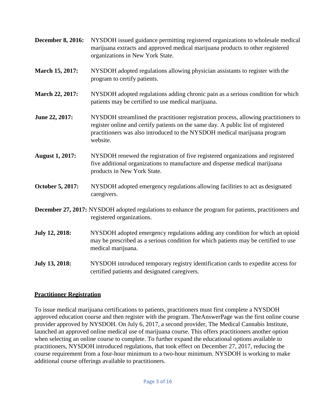- **December 8, 2016:** NYSDOH issued guidance permitting registered organizations to wholesale medical marijuana extracts and approved medical marijuana products to other registered organizations in New York State.
- **March 15, 2017:** NYSDOH adopted regulations allowing physician assistants to register with the program to certify patients.
- **March 22, 2017:** NYSDOH adopted regulations adding chronic pain as a serious condition for which patients may be certified to use medical marijuana.
- **June 22, 2017:** NYSDOH streamlined the practitioner registration process, allowing practitioners to register online and certify patients on the same day. A public list of registered practitioners was also introduced to the NYSDOH medical marijuana program website.
- **August 1, 2017:** NYSDOH renewed the registration of five registered organizations and registered five additional organizations to manufacture and dispense medical marijuana products in New York State.
- **October 5, 2017:** NYSDOH adopted emergency regulations allowing facilities to act as designated caregivers.
- **December 27, 2017:** NYSDOH adopted regulations to enhance the program for patients, practitioners and registered organizations.
- **July 12, 2018:** NYSDOH adopted emergency regulations adding any condition for which an opioid may be prescribed as a serious condition for which patients may be certified to use medical marijuana.
- **July 13, 2018:** NYSDOH introduced temporary registry identification cards to expedite access for certified patients and designated caregivers.

#### <span id="page-3-0"></span>**Practitioner Registration**

To issue medical marijuana certifications to patients, practitioners must first complete a NYSDOH approved education course and then register with the program. TheAnswerPage was the first online course provider approved by NYSDOH. On July 6, 2017, a second provider, The Medical Cannabis Institute, launched an approved online medical use of marijuana course. This offers practitioners another option when selecting an online course to complete. To further expand the educational options available to practitioners, NYSDOH introduced regulations, that took effect on December 27, 2017, reducing the course requirement from a four-hour minimum to a two-hour minimum. NYSDOH is working to make additional course offerings available to practitioners.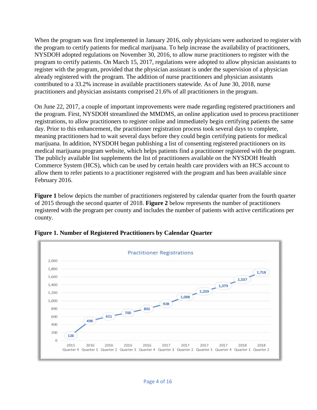When the program was first implemented in January 2016, only physicians were authorized to register with the program to certify patients for medical marijuana. To help increase the availability of practitioners, NYSDOH adopted regulations on November 30, 2016, to allow nurse practitioners to register with the program to certify patients. On March 15, 2017, regulations were adopted to allow physician assistants to register with the program, provided that the physician assistant is under the supervision of a physician already registered with the program. The addition of nurse practitioners and physician assistants contributed to a 33.2% increase in available practitioners statewide. As of June 30, 2018, nurse practitioners and physician assistants comprised 21.6% of all practitioners in the program.

On June 22, 2017, a couple of important improvements were made regarding registered practitioners and the program. First, NYSDOH streamlined the MMDMS, an online application used to process practitioner registrations, to allow practitioners to register online and immediately begin certifying patients the same day. Prior to this enhancement, the practitioner registration process took several days to complete, meaning practitioners had to wait several days before they could begin certifying patients for medical marijuana. In addition, NYSDOH began publishing a list of consenting registered practitioners on its medical marijuana program website, which helps patients find a practitioner registered with the program. The publicly available list supplements the list of practitioners available on the NYSDOH Health Commerce System (HCS), which can be used by certain health care providers with an HCS account to allow them to refer patients to a practitioner registered with the program and has been available since February 2016.

**Figure 1** below depicts the number of practitioners registered by calendar quarter from the fourth quarter of 2015 through the second quarter of 2018. **Figure 2** below represents the number of practitioners registered with the program per county and includes the number of patients with active certifications per county.



<span id="page-4-0"></span>**Figure 1. Number of Registered Practitioners by Calendar Quarter**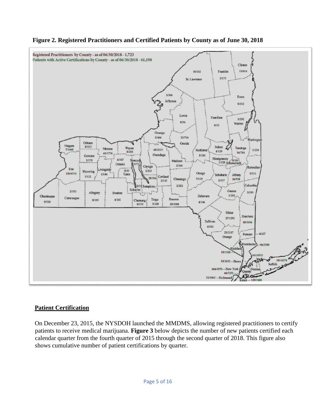

#### <span id="page-5-0"></span>**Figure 2. Registered Practitioners and Certified Patients by County as of June 30, 2018**

#### <span id="page-5-1"></span>**Patient Certification**

On December 23, 2015, the NYSDOH launched the MMDMS, allowing registered practitioners to certify patients to receive medical marijuana. **Figure 3** below depicts the number of new patients certified each calendar quarter from the fourth quarter of 2015 through the second quarter of 2018. This figure also shows cumulative number of patient certifications by quarter.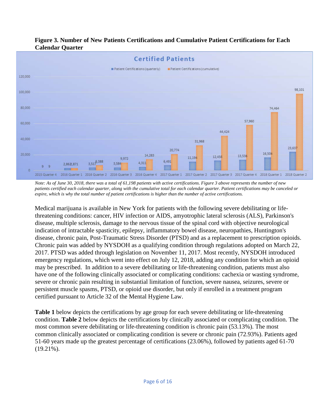#### **Figure 3. Number of New Patients Certifications and Cumulative Patient Certifications for Each Calendar Quarter**

<span id="page-6-0"></span>

*Note: As of June 30, 2018, there was a total of 61,198 patients with active certifications. Figure 3 above represents the number of new patients certified each calendar quarter, along with the cumulative total for each calendar quarter. Patient certifications may be canceled or expire, which is why the total number of patient certifications is higher than the number of active certifications.*

Medical marijuana is available in New York for patients with the following severe debilitating or lifethreatening conditions: cancer, HIV infection or AIDS, amyotrophic lateral sclerosis (ALS), Parkinson's disease, multiple sclerosis, damage to the nervous tissue of the spinal cord with objective neurological indication of intractable spasticity, epilepsy, inflammatory bowel disease, neuropathies, Huntington's disease, chronic pain, Post-Traumatic Stress Disorder (PTSD) and as a replacement to prescription opioids. Chronic pain was added by NYSDOH as a qualifying condition through regulations adopted on March 22, 2017. PTSD was added through legislation on November 11, 2017. Most recently, NYSDOH introduced emergency regulations, which went into effect on July 12, 2018, adding any condition for which an opioid may be prescribed. In addition to a severe debilitating or life-threatening condition, patients must also have one of the following clinically associated or complicating conditions: cachexia or wasting syndrome, severe or chronic pain resulting in substantial limitation of function, severe nausea, seizures, severe or persistent muscle spasms, PTSD, or opioid use disorder, but only if enrolled in a treatment program certified pursuant to Article 32 of the Mental Hygiene Law.

**Table 1** below depicts the certifications by age group for each severe debilitating or life-threatening condition. **Table 2** below depicts the certifications by clinically associated or complicating condition. The most common severe debilitating or life-threatening condition is chronic pain (53.13%). The most common clinically associated or complicating condition is severe or chronic pain (72.93%). Patients aged 51-60 years made up the greatest percentage of certifications (23.06%), followed by patients aged 61-70  $(19.21\%)$ .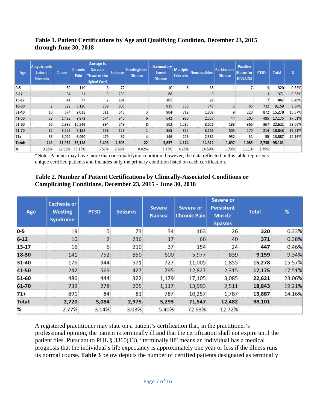#### <span id="page-7-0"></span>**Table 1. Patient Certifications by Age and Qualifying Condition, December 23, 2015 through June 30, 2018**

| Age           | <b>Amyotrophic</b><br><b>Lateral</b><br><b>Sclerosis</b> | <b>Cancer</b> | Chronic<br>Pain | Damage to<br><b>Nervous</b><br><b>Tissue of the</b><br><b>Spinal Cord</b> | <b>Epilepsy</b> | Huntington's<br><b>Disease</b> | Inflammatory<br><b>Bowel</b><br><b>Disease</b> | <b>Multiple</b><br><b>Sclerosis</b> | <b>Neuropathies</b> | Parkinson's<br><b>Disease</b> | <b>Positive</b><br><b>Status for</b><br><b>HIV/AIDS</b> | <b>PTSD</b>    | <b>Total</b> | %      |
|---------------|----------------------------------------------------------|---------------|-----------------|---------------------------------------------------------------------------|-----------------|--------------------------------|------------------------------------------------|-------------------------------------|---------------------|-------------------------------|---------------------------------------------------------|----------------|--------------|--------|
| $0-5$         |                                                          | 59            | 119             | 8                                                                         | 72              |                                | 10                                             | 6                                   | 35                  |                               |                                                         | $\overline{3}$ | 320          | 0.33%  |
| $6 - 12$      |                                                          | 34            | 21              | $\overline{3}$                                                            | 233             |                                | 68                                             |                                     | 9                   |                               |                                                         | 3              | 371          | 0.38%  |
| $13 - 17$     |                                                          | 41            | 77              |                                                                           | 194             |                                | 105                                            |                                     | 21                  |                               |                                                         |                | 447          | 0.46%  |
| 18-30         |                                                          | 322           | 5,120           | 259                                                                       | 805             |                                | 915                                            | 168                                 | 747                 |                               | 86                                                      | 732            | 9,159        | 9.34%  |
| $31 - 40$     | 10                                                       | 674           | 9,018           | 511                                                                       | 543             | 3                              | 904                                            | 712                                 | 1,802               |                               | 220                                                     | 872            | 15,278       | 15.57% |
| 41-50         | 23                                                       | 1,432         | 9,872           | 674                                                                       | 345             | 6                              | 642                                            | 920                                 | 2,527               | 44                            | 205                                                     | 485            | 17,175       | 17.51% |
| $51 - 60$     | 66                                                       | 2,832         | 12,249          | 894                                                                       | 248             | 8                              | 502                                            | 1,285                               | 3,621               | 183                           | 366                                                     | 367            | 22,621       | 23.06% |
| 61-70         | 87                                                       | 3,529         | 9,152           | 668                                                                       | 128             |                                | 365                                            | 855                                 | 3,169               | 505                           | 170                                                     | 214            | 18,843       | 19.21% |
| $71+$         | 55                                                       | 3,029         | 6,490           | 479                                                                       | 37              | 4                              | 146                                            | 228                                 | 2,381               | 952                           | 31                                                      | 55             | 13,887       | 14.16% |
| Total:        | 243                                                      | 11,952        | 52,118          | 3,498                                                                     | 2,605           | 22                             | 3,657                                          | 4,174                               | 14,312              | 1,697                         | 1,085                                                   | 2,738          | 98,101       |        |
| $\frac{9}{6}$ | 0.25%                                                    | 12.18%        | 53.13%          | 3.57%                                                                     | 2.66%           | 0.02%                          | 3.73%                                          | 4.25%                               | 14.59%              | 1.73%                         | 1.11%                                                   | 2.79%          |              |        |

\*Note: Patients may have more than one qualifying condition; however, the data reflected in this table represents unique certified patients and includes only the primary condition listed on each certification.

#### **Table 2. Number of Patient Certifications by Clinically-Associated Conditions or Complicating Conditions, December 23, 2015 - June 30, 2018**

<span id="page-7-1"></span>

| Age           | <b>Cachexia or</b><br><b>Wasting</b><br><b>Syndrome</b> | <b>PTSD</b>    | <b>Seizures</b> | <b>Severe</b><br><b>Nausea</b> | Severe or<br><b>Chronic Pain</b> | Severe or<br><b>Persistent</b><br><b>Muscle</b><br><b>Spasms</b> | <b>Total</b> | %      |
|---------------|---------------------------------------------------------|----------------|-----------------|--------------------------------|----------------------------------|------------------------------------------------------------------|--------------|--------|
| $0-5$         | 19                                                      | 5              | 73              | 34                             | 163                              | 26                                                               | 320          | 0.33%  |
| $6 - 12$      | 10                                                      | $\overline{2}$ | 236             | 17                             | 66                               | 40                                                               | 371          | 0.38%  |
| $13 - 17$     | 16                                                      | 6              | 210             | 37                             | 154                              | 24                                                               | 447          | 0.46%  |
| 18-30         | 141                                                     | 752            | 850             | 600                            | 5,977                            | 839                                                              | 9,159        | 9.34%  |
| 31-40         | 176                                                     | 944            | 571             | 727                            | 11,005                           | 1,855                                                            | 15,278       | 15.57% |
| 41-50         | 242                                                     | 569            | 427             | 795                            | 12,827                           | 2,315                                                            | 17,175       | 17.51% |
| 51-60         | 486                                                     | 444            | 322             | 1,179                          | 17,105                           | 3,085                                                            | 22,621       | 23.06% |
| 61-70         | 739                                                     | 278            | 205             | 1,117                          | 13,993                           | 2,511                                                            | 18,843       | 19.21% |
| $71+$         | 891                                                     | 84             | 81              | 787                            | 10,257                           | 1,787                                                            | 13,887       | 14.16% |
| <b>Total:</b> | 2,720                                                   | 3,084          | 2,975           | 5,293                          | 71,547                           | 12,482                                                           | 98,101       |        |
| %             | 2.77%                                                   | 3.14%          | 3.03%           | 5.40%                          | 72.93%                           | 12.72%                                                           |              |        |

A registered practitioner may state on a patient's certification that, in the practitioner's professional opinion, the patient is terminally ill and that the certification shall not expire until the patient dies. Pursuant to PHL § 3360(13), "terminally ill" means an individual has a medical prognosis that the individual's life expectancy is approximately one year or less if the illness runs its normal course. **Table 3** below depicts the number of certified patients designated as terminally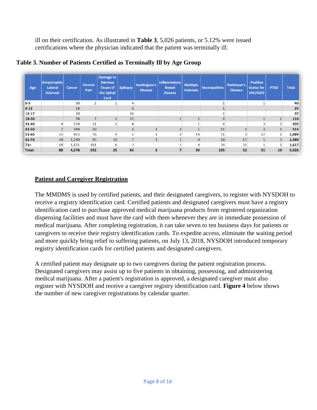ill on their certification. As illustrated in **Table 3**, 5,026 patients, or 5.12% were issued certifications where the physician indicated that the patient was terminally ill.

| Age           | <b>Amyotrophic</b><br><b>Lateral</b><br><b>Sclerosis</b> | Cancer | <b>Chronic</b><br>Pain | Damage to<br><b>Nervous</b><br><b>Tissue of</b><br>the Spinal<br>Cord | <b>Epilepsy</b> | <b>Huntington's</b><br><b>Disease</b> | Inflammatory<br><b>Bowel</b><br><b>Disease</b> | <b>Multiple</b><br><b>Sclerosis</b> | <b>Neuropathies</b> | <b>Parkinson's</b><br><b>Disease</b> | <b>Positive</b><br><b>Status for</b><br><b>HIV/AIDS</b> | <b>PTSD</b>     | <b>Total</b> |
|---------------|----------------------------------------------------------|--------|------------------------|-----------------------------------------------------------------------|-----------------|---------------------------------------|------------------------------------------------|-------------------------------------|---------------------|--------------------------------------|---------------------------------------------------------|-----------------|--------------|
| $0-5$         |                                                          | 30     | $\overline{2}$         |                                                                       | 4               |                                       |                                                |                                     |                     |                                      |                                                         |                 | 40           |
| $6 - 12$      |                                                          | 18     |                        |                                                                       | 6               |                                       |                                                |                                     |                     |                                      |                                                         |                 | 25           |
| 13-17         |                                                          | 20     |                        |                                                                       | 16              |                                       |                                                |                                     |                     |                                      |                                                         |                 | 37           |
| 18-30         |                                                          | 78     | $\overline{7}$         |                                                                       | 15              |                                       |                                                | $\mathbf{\hat{z}}$                  |                     |                                      |                                                         |                 | 110          |
| 31-40         | 4                                                        | 159    | 21                     | n                                                                     | 8               |                                       |                                                |                                     |                     |                                      |                                                         |                 | 205          |
| 41-50         |                                                          | 349    | 30                     |                                                                       | 4               |                                       |                                                |                                     | 11                  |                                      |                                                         |                 | 414          |
| 51-60         | 25                                                       | 913    | 76                     |                                                                       | <b>C</b>        |                                       |                                                | 14                                  | 31                  | 3                                    | 17                                                      |                 | 1,089        |
| 61-70         | 38                                                       | 1,290  | 95                     | 10                                                                    | –               |                                       |                                                | 4                                   | 18                  | 17                                   |                                                         | 3               | 1,489        |
| $71+$         | 14                                                       | 1,421  | 101                    | 6                                                                     | 3               |                                       |                                                | Δ                                   | 34                  | 31                                   |                                                         |                 | 1,617        |
| <b>Total:</b> | 88                                                       | 4,278  | 332                    | 25                                                                    | 65              | з                                     |                                                | 30                                  | 105                 | 52                                   | 31                                                      | 10 <sup>1</sup> | 5,026        |

#### <span id="page-8-0"></span>**Table 3. Number of Patients Certified as Terminally Ill by Age Group**

#### <span id="page-8-1"></span>**Patient and Caregiver Registration**

The MMDMS is used by certified patients, and their designated caregivers, to register with NYSDOH to receive a registry identification card. Certified patients and designated caregivers must have a registry identification card to purchase approved medical marijuana products from registered organization dispensing facilities and must have the card with them whenever they are in immediate possession of medical marijuana. After completing registration, it can take seven to ten business days for patients or caregivers to receive their registry identification cards. To expedite access, eliminate the waiting period and more quickly bring relief to suffering patients, on July 13, 2018, NYSDOH introduced temporary registry identification cards for certified patients and designated caregivers.

A certified patient may designate up to two caregivers during the patient registration process. Designated caregivers may assist up to five patients in obtaining, possessing, and administering medical marijuana. After a patient's registration is approved, a designated caregiver must also register with NYSDOH and receive a caregiver registry identification card. **Figure 4** below shows the number of new caregiver registrations by calendar quarter.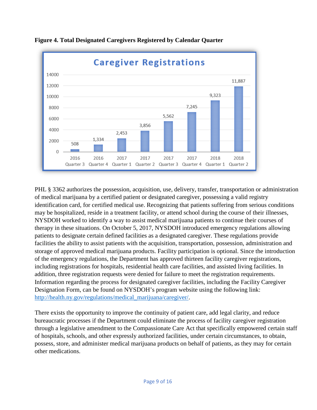

<span id="page-9-0"></span>**Figure 4. Total Designated Caregivers Registered by Calendar Quarter**

PHL § 3362 authorizes the possession, acquisition, use, delivery, transfer, transportation or administration of medical marijuana by a certified patient or designated caregiver, possessing a valid registry identification card, for certified medical use. Recognizing that patients suffering from serious conditions may be hospitalized, reside in a treatment facility, or attend school during the course of their illnesses, NYSDOH worked to identify a way to assist medical marijuana patients to continue their courses of therapy in these situations. On October 5, 2017, NYSDOH introduced emergency regulations allowing patients to designate certain defined facilities as a designated caregiver. These regulations provide facilities the ability to assist patients with the acquisition, transportation, possession, administration and storage of approved medical marijuana products. Facility participation is optional. Since the introduction of the emergency regulations, the Department has approved thirteen facility caregiver registrations, including registrations for hospitals, residential health care facilities, and assisted living facilities. In addition, three registration requests were denied for failure to meet the registration requirements. Information regarding the process for designated caregiver facilities, including the Facility Caregiver Designation Form, can be found on NYSDOH's program website using the following link: [http://health.ny.gov/regulations/medical\\_marijuana/caregiver/.](http://health.ny.gov/regulations/medical_marijuana/caregiver/)

There exists the opportunity to improve the continuity of patient care, add legal clarity, and reduce bureaucratic processes if the Department could eliminate the process of facility caregiver registration through a legislative amendment to the Compassionate Care Act that specifically empowered certain staff of hospitals, schools, and other expressly authorized facilities, under certain circumstances, to obtain, possess, store, and administer medical marijuana products on behalf of patients, as they may for certain other medications.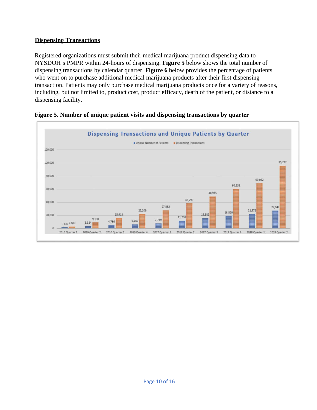#### <span id="page-10-0"></span>**Dispensing Transactions**

Registered organizations must submit their medical marijuana product dispensing data to NYSDOH's PMPR within 24-hours of dispensing. **Figure 5** below shows the total number of dispensing transactions by calendar quarter. **Figure 6** below provides the percentage of patients who went on to purchase additional medical marijuana products after their first dispensing transaction. Patients may only purchase medical marijuana products once for a variety of reasons, including, but not limited to, product cost, product efficacy, death of the patient, or distance to a dispensing facility.



#### <span id="page-10-1"></span>**Figure 5. Number of unique patient visits and dispensing transactions by quarter**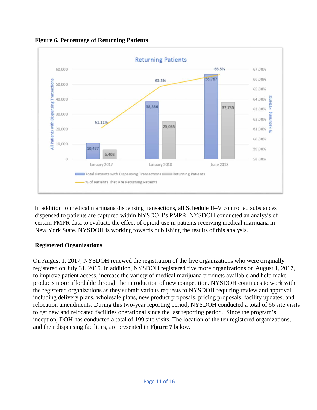

<span id="page-11-0"></span>**Figure 6. Percentage of Returning Patients**

In addition to medical marijuana dispensing transactions, all Schedule II–V controlled substances dispensed to patients are captured within NYSDOH's PMPR. NYSDOH conducted an analysis of certain PMPR data to evaluate the effect of opioid use in patients receiving medical marijuana in New York State. NYSDOH is working towards publishing the results of this analysis.

#### <span id="page-11-1"></span>**Registered Organizations**

On August 1, 2017, NYSDOH renewed the registration of the five organizations who were originally registered on July 31, 2015. In addition, NYSDOH registered five more organizations on August 1, 2017, to improve patient access, increase the variety of medical marijuana products available and help make products more affordable through the introduction of new competition. NYSDOH continues to work with the registered organizations as they submit various requests to NYSDOH requiring review and approval, including delivery plans, wholesale plans, new product proposals, pricing proposals, facility updates, and relocation amendments. During this two-year reporting period, NYSDOH conducted a total of 66 site visits to get new and relocated facilities operational since the last reporting period. Since the program's inception, DOH has conducted a total of 199 site visits. The location of the ten registered organizations, and their dispensing facilities, are presented in **Figure 7** below.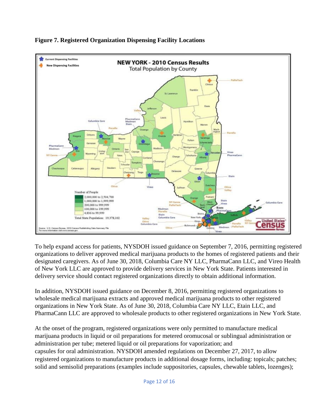<span id="page-12-0"></span>

#### **Figure 7. Registered Organization Dispensing Facility Locations**

To help expand access for patients, NYSDOH issued guidance on September 7, 2016, permitting registered organizations to deliver approved medical marijuana products to the homes of registered patients and their designated caregivers. As of June 30, 2018, Columbia Care NY LLC, PharmaCann LLC, and Vireo Health of New York LLC are approved to provide delivery services in New York State. Patients interested in delivery service should contact registered organizations directly to obtain additional information.

In addition, NYSDOH issued guidance on December 8, 2016, permitting registered organizations to wholesale medical marijuana extracts and approved medical marijuana products to other registered organizations in New York State. As of June 30, 2018, Columbia Care NY LLC, Etain LLC, and PharmaCann LLC are approved to wholesale products to other registered organizations in New York State.

At the onset of the program, registered organizations were only permitted to manufacture medical marijuana products in liquid or oil preparations for metered oromucosal or sublingual administration or administration per tube; metered liquid or oil preparations for vaporization; and capsules for oral administration. NYSDOH amended regulations on December 27, 2017, to allow registered organizations to manufacture products in additional dosage forms, including: topicals; patches; solid and semisolid preparations (examples include suppositories, capsules, chewable tablets, lozenges);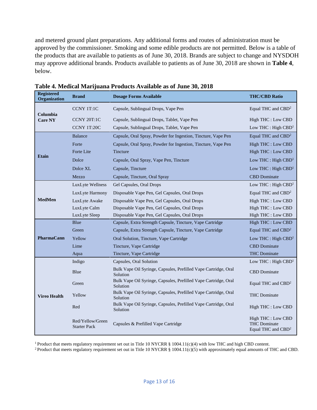and metered ground plant preparations. Any additional forms and routes of administration must be approved by the commissioner. Smoking and some edible products are not permitted. Below is a table of the products that are available to patients as of June 30, 2018. Brands are subject to change and NYSDOH may approve additional brands. Products available to patients as of June 30, 2018 are shown in **Table 4**, below.

| <b>Registered</b><br>Organization | <b>Brand</b>                            | <b>Dosage Forms Available</b>                                               | <b>THC/CBD Ratio</b>                                                        |  |  |
|-----------------------------------|-----------------------------------------|-----------------------------------------------------------------------------|-----------------------------------------------------------------------------|--|--|
| Columbia                          | <b>CCNY 1T:1C</b>                       | Capsule, Sublingual Drops, Vape Pen                                         | Equal THC and CBD <sup>2</sup>                                              |  |  |
| <b>Care NY</b>                    | CCNY 20T:1C                             | Capsule, Sublingual Drops, Tablet, Vape Pen                                 | High THC : Low CBD                                                          |  |  |
|                                   | CCNY 1T:20C                             | Capsule, Sublingual Drops, Tablet, Vape Pen                                 | Low THC : High CBD <sup>1</sup>                                             |  |  |
|                                   | <b>Balance</b>                          | Capsule, Oral Spray, Powder for Ingestion, Tincture, Vape Pen               | Equal THC and CBD <sup>2</sup>                                              |  |  |
|                                   | Forte                                   | Capsule, Oral Spray, Powder for Ingestion, Tincture, Vape Pen               | High THC : Low CBD                                                          |  |  |
|                                   | Forte Lite                              | <b>Tincture</b>                                                             | High THC : Low CBD                                                          |  |  |
| <b>Etain</b>                      | Dolce                                   | Capsule, Oral Spray, Vape Pen, Tincture                                     | Low THC : High $CBD1$                                                       |  |  |
|                                   | Dolce XL                                | Capsule, Tincture                                                           | Low THC : High $CBD1$                                                       |  |  |
|                                   | Mezzo                                   | Capsule, Tincture, Oral Spray                                               | <b>CBD</b> Dominate                                                         |  |  |
|                                   | LuxLyte Wellness                        | Gel Capsules, Oral Drops                                                    | Low THC : High $CBD1$                                                       |  |  |
|                                   | LuxLyte Harmony                         | Disposable Vape Pen, Gel Capsules, Oral Drops                               | Equal THC and CBD <sup>2</sup>                                              |  |  |
| <b>MedMen</b>                     | LuxLyte Awake                           | Disposable Vape Pen, Gel Capsules, Oral Drops                               | High THC : Low CBD                                                          |  |  |
|                                   | LuxLyte Calm                            | Disposable Vape Pen, Gel Capsules, Oral Drops                               | High THC : Low CBD                                                          |  |  |
|                                   | LuxLyte Sleep                           | Disposable Vape Pen, Gel Capsules, Oral Drops                               | High THC : Low CBD                                                          |  |  |
|                                   | Blue                                    | Capsule, Extra Strength Capsule, Tincture, Vape Cartridge                   | High THC : Low CBD                                                          |  |  |
|                                   | Green                                   | Capsule, Extra Strength Capsule, Tincture, Vape Cartridge                   | Equal THC and CBD <sup>2</sup>                                              |  |  |
| PharmaCann                        | Yellow                                  | Oral Solution, Tincture, Vape Cartridge                                     | Low THC : High $CBD1$                                                       |  |  |
|                                   | Lime                                    | Tincture, Vape Cartridge                                                    | <b>CBD</b> Dominate                                                         |  |  |
|                                   | Aqua                                    | Tincture, Vape Cartridge                                                    | <b>THC</b> Dominate                                                         |  |  |
|                                   | Indigo                                  | Capsules, Oral Solution                                                     | Low THC : High $CBD1$                                                       |  |  |
|                                   | Blue                                    | Bulk Vape Oil Syringe, Capsules, Prefilled Vape Cartridge, Oral<br>Solution | <b>CBD</b> Dominate                                                         |  |  |
|                                   | Green                                   | Bulk Vape Oil Syringe, Capsules, Prefilled Vape Cartridge, Oral<br>Solution | Equal THC and CBD <sup>2</sup>                                              |  |  |
| <b>Vireo Health</b>               | Yellow                                  | Bulk Vape Oil Syringe, Capsules, Prefilled Vape Cartridge, Oral<br>Solution | <b>THC</b> Dominate                                                         |  |  |
|                                   | Red                                     | Bulk Vape Oil Syringe, Capsules, Prefilled Vape Cartridge, Oral<br>Solution | High THC : Low CBD                                                          |  |  |
|                                   | Red/Yellow/Green<br><b>Starter Pack</b> | Capsules & Prefilled Vape Cartridge                                         | High THC : Low CBD<br><b>THC</b> Dominate<br>Equal THC and CBD <sup>2</sup> |  |  |

<span id="page-13-0"></span>**Table 4. Medical Marijuana Products Available as of June 30, 2018** 

1 Product that meets regulatory requirement set out in Title 10 NYCRR § 1004.11(c)(4) with low THC and high CBD content.

<sup>2</sup> Product that meets regulatory requirement set out in Title 10 NYCRR § 1004.11(c)(5) with approximately equal amounts of THC and CBD.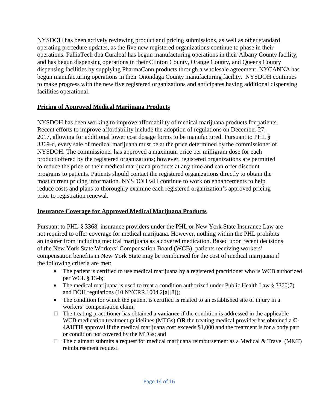NYSDOH has been actively reviewing product and pricing submissions, as well as other standard operating procedure updates, as the five new registered organizations continue to phase in their operations. PalliaTech dba Curaleaf has begun manufacturing operations in their Albany County facility, and has begun dispensing operations in their Clinton County, Orange County, and Queens County dispensing facilities by supplying PharmaCann products through a wholesale agreement. NYCANNA has begun manufacturing operations in their Onondaga County manufacturing facility. NYSDOH continues to make progress with the new five registered organizations and anticipates having additional dispensing facilities operational.

#### <span id="page-14-0"></span>**Pricing of Approved Medical Marijuana Products**

NYSDOH has been working to improve affordability of medical marijuana products for patients. Recent efforts to improve affordability include the adoption of regulations on December 27, 2017, allowing for additional lower cost dosage forms to be manufactured. Pursuant to PHL § 3369-d, every sale of medical marijuana must be at the price determined by the commissioner of NYSDOH. The commissioner has approved a maximum price per milligram dose for each product offered by the registered organizations; however, registered organizations are permitted to reduce the price of their medical marijuana products at any time and can offer discount programs to patients. Patients should contact the registered organizations directly to obtain the most current pricing information. NYSDOH will continue to work on enhancements to help reduce costs and plans to thoroughly examine each registered organization's approved pricing prior to registration renewal.

#### <span id="page-14-1"></span>**Insurance Coverage for Approved Medical Marijuana Products**

Pursuant to PHL § 3368, insurance providers under the PHL or New York State Insurance Law are not required to offer coverage for medical marijuana. However, nothing within the PHL prohibits an insurer from including medical marijuana as a covered medication. Based upon recent decisions of the New York State Workers' Compensation Board (WCB), patients receiving workers' compensation benefits in New York State may be reimbursed for the cost of medical marijuana if the following criteria are met:

- The patient is certified to use medical marijuana by a registered practitioner who is WCB authorized per WCL § 13-b;
- The medical marijuana is used to treat a condition authorized under Public Health Law § 3360(7) and DOH regulations (10 NYCRR 1004.2[a][8]);
- The condition for which the patient is certified is related to an established site of injury in a workers' compensation claim;
- $\Box$  The treating practitioner has obtained a **variance** if the condition is addressed in the applicable WCB medication treatment guidelines (MTGs) **OR** the treating medical provider has obtained a **C-4AUTH** approval if the medical marijuana cost exceeds \$1,000 and the treatment is for a body part or condition not covered by the MTGs; and
- $\Box$  The claimant submits a request for medical marijuana reimbursement as a Medical & Travel (M&T) reimbursement request.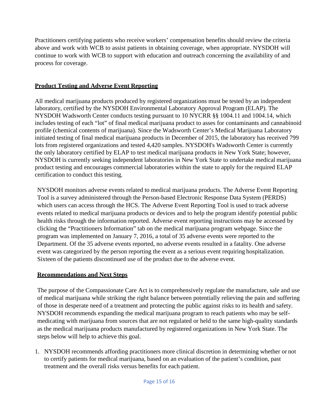Practitioners certifying patients who receive workers' compensation benefits should review the criteria above and work with WCB to assist patients in obtaining coverage, when appropriate. NYSDOH will continue to work with WCB to support with education and outreach concerning the availability of and process for coverage.

#### <span id="page-15-0"></span>**Product Testing and Adverse Event Reporting**

All medical marijuana products produced by registered organizations must be tested by an independent laboratory, certified by the NYSDOH Environmental Laboratory Approval Program (ELAP). The NYSDOH Wadsworth Center conducts testing pursuant to 10 NYCRR §§ 1004.11 and 1004.14, which includes testing of each "lot" of final medical marijuana product to asses for contaminants and cannabinoid profile (chemical contents of marijuana). Since the Wadsworth Center's Medical Marijuana Laboratory initiated testing of final medical marijuana products in December of 2015, the laboratory has received 799 lots from registered organizations and tested 4,420 samples. NYSDOH's Wadsworth Center is currently the only laboratory certified by ELAP to test medical marijuana products in New York State; however, NYSDOH is currently seeking independent laboratories in New York State to undertake medical marijuana product testing and encourages commercial laboratories within the state to apply for the required ELAP certification to conduct this testing.

NYSDOH monitors adverse events related to medical marijuana products. The Adverse Event Reporting Tool is a survey administered through the Person-based Electronic Response Data System (PERDS) which users can access through the HCS. The Adverse Event Reporting Tool is used to track adverse events related to medical marijuana products or devices and to help the program identify potential public health risks through the information reported. Adverse event reporting instructions may be accessed by clicking the "Practitioners Information" tab on the medical marijuana program webpage. Since the program was implemented on January 7, 2016, a total of 35 adverse events were reported to the Department. Of the 35 adverse events reported, no adverse events resulted in a fatality. One adverse event was categorized by the person reporting the event as a serious event requiring hospitalization. Sixteen of the patients discontinued use of the product due to the adverse event.

#### <span id="page-15-1"></span>**Recommendations and Next Steps**

The purpose of the Compassionate Care Act is to comprehensively regulate the manufacture, sale and use of medical marijuana while striking the right balance between potentially relieving the pain and suffering of those in desperate need of a treatment and protecting the public against risks to its health and safety. NYSDOH recommends expanding the medical marijuana program to reach patients who may be selfmedicating with marijuana from sources that are not regulated or held to the same high-quality standards as the medical marijuana products manufactured by registered organizations in New York State. The steps below will help to achieve this goal.

1. NYSDOH recommends affording practitioners more clinical discretion in determining whether or not to certify patients for medical marijuana, based on an evaluation of the patient's condition, past treatment and the overall risks versus benefits for each patient.